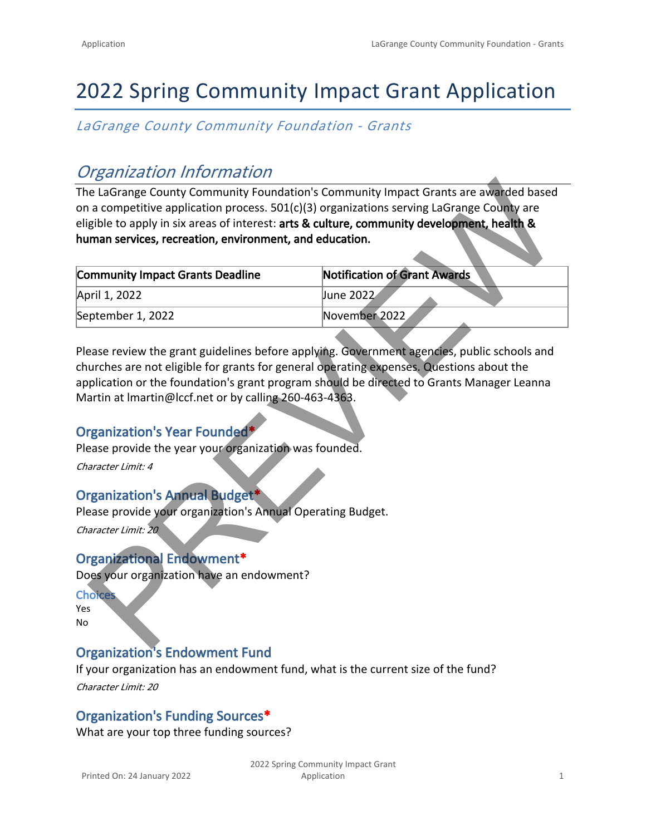# 2022 Spring Community Impact Grant Application

*LaGrange County Community Foundation - Grants*

## *Organization Information*

| $\sim$ . Summation modernation.                                                                                                                                                                                                                                                      |                                     |  |
|--------------------------------------------------------------------------------------------------------------------------------------------------------------------------------------------------------------------------------------------------------------------------------------|-------------------------------------|--|
| The LaGrange County Community Foundation's Community Impact Grants are awarded based<br>on a competitive application process. 501(c)(3) organizations serving LaGrange County are                                                                                                    |                                     |  |
| eligible to apply in six areas of interest: arts & culture, community development, health &<br>human services, recreation, environment, and education.                                                                                                                               |                                     |  |
| <b>Community Impact Grants Deadline</b>                                                                                                                                                                                                                                              | <b>Notification of Grant Awards</b> |  |
| April 1, 2022                                                                                                                                                                                                                                                                        | June 2022                           |  |
| September 1, 2022                                                                                                                                                                                                                                                                    | November 2022                       |  |
| Please review the grant guidelines before applying. Government agencies, public schools and<br>churches are not eligible for grants for general operating expenses. Questions about the<br>application or the foundation's grant program should be directed to Grants Manager Leanna |                                     |  |
| Martin at Imartin@Iccf.net or by calling 260-463-4363.<br>Organization's Year Founded*                                                                                                                                                                                               |                                     |  |
| Please provide the year your organization was founded.                                                                                                                                                                                                                               |                                     |  |
| Character Limit: 4                                                                                                                                                                                                                                                                   |                                     |  |
| <b>Organization's Annual Budget*</b>                                                                                                                                                                                                                                                 |                                     |  |
| Please provide your organization's Annual Operating Budget.<br>Character Limit: 20                                                                                                                                                                                                   |                                     |  |
| <b>Organizational Endowment*</b>                                                                                                                                                                                                                                                     |                                     |  |
| Does your organization have an endowment?                                                                                                                                                                                                                                            |                                     |  |
| <b>Choices</b>                                                                                                                                                                                                                                                                       |                                     |  |
| <b>Yes</b><br>No                                                                                                                                                                                                                                                                     |                                     |  |
|                                                                                                                                                                                                                                                                                      |                                     |  |

## **Organization's Year Founded\***

## **Organization's Annual Budget\***

## **Organizational Endowment\***

## **Organization's Endowment Fund**

If your organization has an endowment fund, what is the current size of the fund?

*Character Limit: 20*

## **Organization's Funding Sources\***

What are your top three funding sources?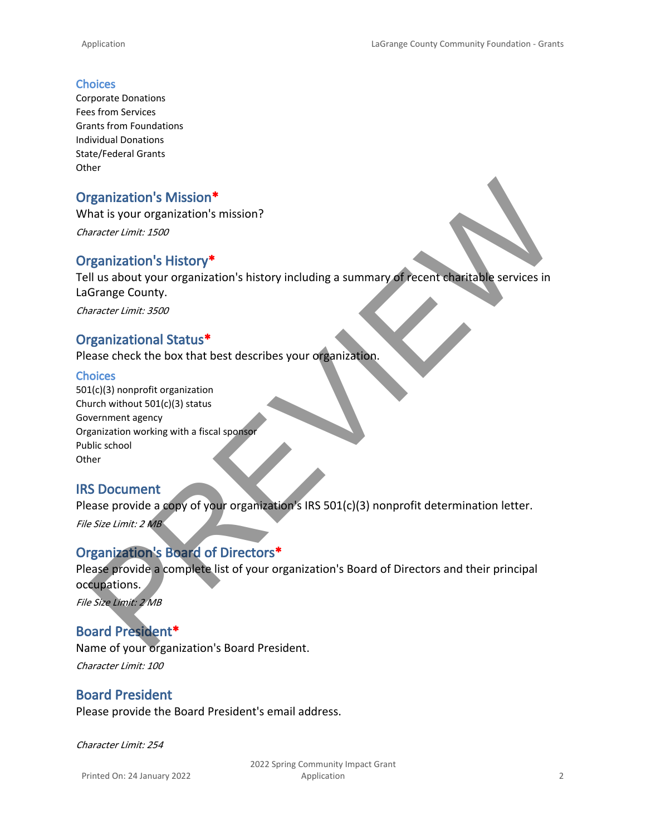#### **Choices**

Corporate Donations Fees from Services Grants from Foundations Individual Donations State/Federal Grants **Other** 

#### **Organization's Mission\***

What is your organization's mission?

*Character Limit: 1500*

#### **Organization's History\***

Tell us about your organization's history including a summary of recent charitable services in LaGrange County. rganization's Mission\*<br>
anater limit: 1500<br>
anater limit: 1500<br>
Ill us about your organization's history<br>
Grange County organization's history including a summary of recent than take services in<br>
Grange County.<br>
Correct li

*Character Limit: 3500*

#### **Organizational Status\***

Please check the box that best describes your organization.

#### **Choices**

501(c)(3) nonprofit organization Church without 501(c)(3) status Government agency Organization working with a fiscal sponsor Public school **Other** 

#### **IRS Document**

Please provide a copy of your organization's IRS 501(c)(3) nonprofit determination letter.

*File Size Limit: 2 MB*

#### **Organization's Board of Directors\***

Please provide a complete list of your organization's Board of Directors and their principal occupations.

*File Size Limit: 2 MB*

### **Board President\***

Name of your organization's Board President. *Character Limit: 100*

#### **Board President**

Please provide the Board President's email address.

*Character Limit: 254*

Printed On: 24 January 2022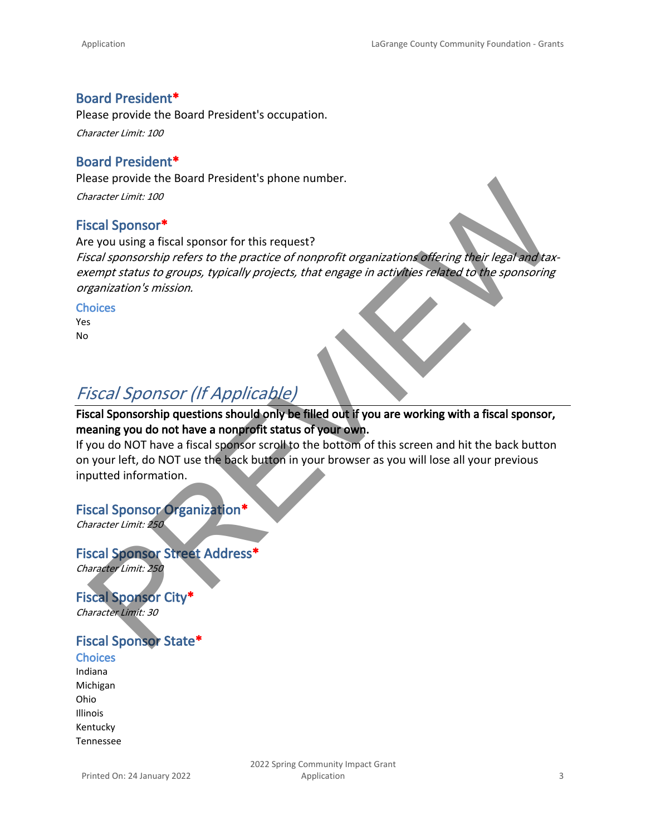### **Board President\***

Please provide the Board President's occupation.

*Character Limit: 100*

#### **Board President\***

Please provide the Board President's phone number.

*Character Limit: 100*

#### **Fiscal Sponsor\***

Are you using a fiscal sponsor for this request? *Fiscal sponsorship refers to the practice of nonprofit organizations offering their legal and taxexempt status to groups, typically projects, that engage in activities related to the sponsoring organization's mission.*  esse provide the board President's phone number.<br>
anader umit: 100<br>
scal Sponsorship refers to the practice of nonprofit organizations difering their legal and tax-<br>
regnization's mission.<br>
Scal Sponsorship refers to the p

#### **Choices**

Yes No

## *Fiscal Sponsor (If Applicable)*

### **Fiscal Sponsorship questions should only be filled out if you are working with a fiscal sponsor, meaning you do not have a nonprofit status of your own.**

If you do NOT have a fiscal sponsor scroll to the bottom of this screen and hit the back button on your left, do NOT use the back button in your browser as you will lose all your previous inputted information.

#### **Fiscal Sponsor Organization\***

*Character Limit: 250*

## **Fiscal Sponsor Street Address\***

*Character Limit: 250*

**Fiscal Sponsor City\*** *Character Limit: 30*

## **Fiscal Sponsor State\***

**Choices** Indiana Michigan Ohio Illinois Kentucky Tennessee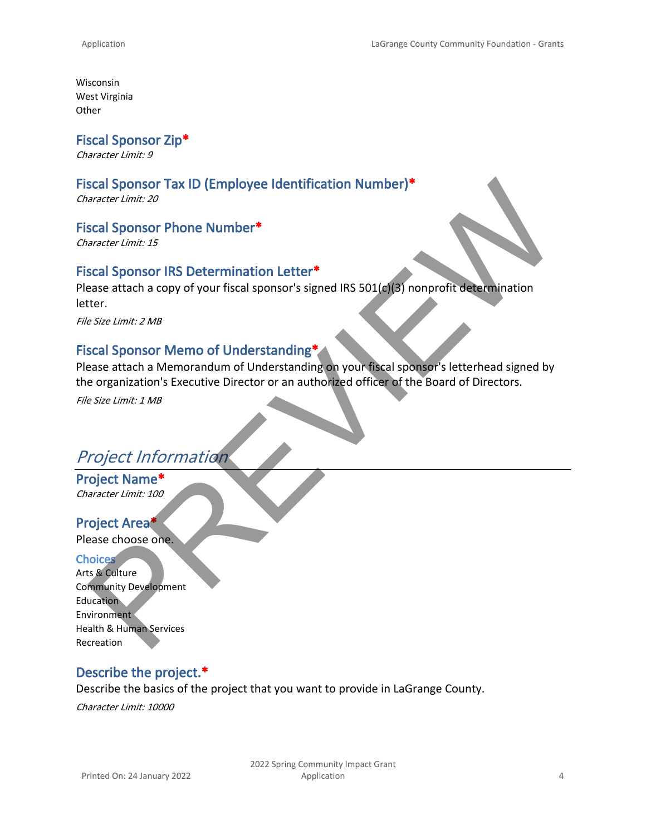Wisconsin West Virginia **Other** 

**Fiscal Sponsor Zip\***

*Character Limit: 9*

### **Fiscal Sponsor Tax ID (Employee Identification Number)\***

*Character Limit: 20*

#### **Fiscal Sponsor Phone Number\***

*Character Limit: 15*

#### **Fiscal Sponsor IRS Determination Letter\***

Please attach a copy of your fiscal sponsor's signed IRS 501(c)(3) nonprofit determination letter.

*File Size Limit: 2 MB*

## **Fiscal Sponsor Memo of Understanding\***

Please attach a Memorandum of Understanding on your fiscal sponsor's letterhead signed by the organization's Executive Director or an authorized officer of the Board of Directors. Scal Sponsor Tax ID (Employee Identification Number)\*<br>
scale Sponsor Phone Number\*<br>
scale Sponsor Phone Number\*<br>
scale Sponsor IRS Determination Letter\*<br>
scale Sponsor IRS Determination Letter\*<br>
scale Sponsor IRS Determina

*File Size Limit: 1 MB*

## *Project Information*

**Project Name\*** *Character Limit: 100*

#### **Project Area\***

Please choose one.

#### **Choices**

Arts & Culture Community Development **Education Environment** Health & Human Services Recreation

#### **Describe the project.\***

Describe the basics of the project that you want to provide in LaGrange County.

*Character Limit: 10000*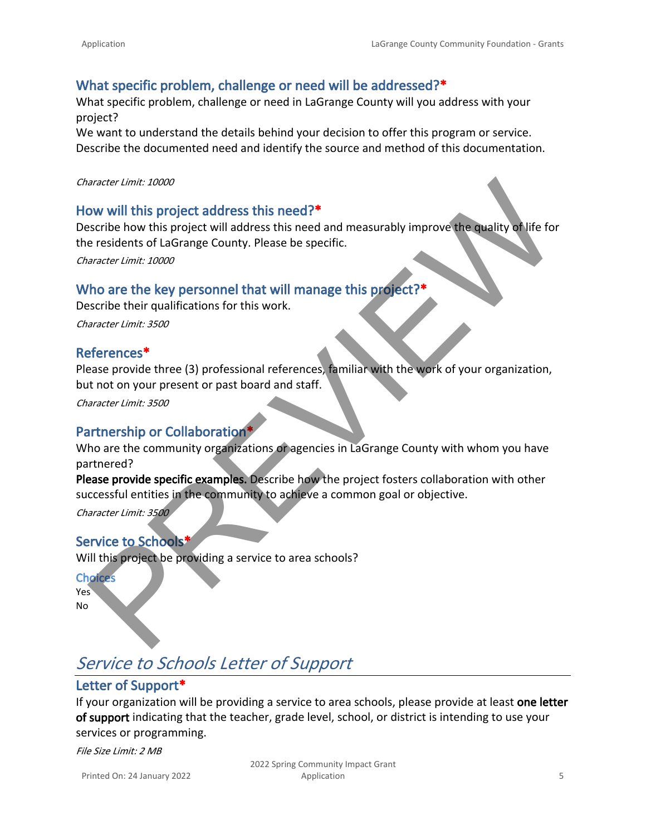## **What specific problem, challenge or need will be addressed?\***

What specific problem, challenge or need in LaGrange County will you address with your project?

We want to understand the details behind your decision to offer this program or service. Describe the documented need and identify the source and method of this documentation.

#### *Character Limit: 10000*

#### **How will this project address this need?\***

Describe how this project will address this need and measurably improve the quality of life for the residents of LaGrange County. Please be specific.

*Character Limit: 10000*

### **Who are the key personnel that will manage this project?\***

Describe their qualifications for this work. *Character Limit: 3500*

#### **References\***

Please provide three (3) professional references, familiar with the work of your organization, but not on your present or past board and staff. aracter Limit: 10000<br>
ow will this project address this need?\*<br>
section this project address this need and measurably improve the quality of life for<br>
eresidents of LaGrange County. Please be specific.<br>
Who are the key per

*Character Limit: 3500*

### **Partnership or Collaboration\***

Who are the community organizations or agencies in LaGrange County with whom you have partnered?

**Please provide specific examples.** Describe how the project fosters collaboration with other successful entities in the community to achieve a common goal or objective.

*Character Limit: 3500*

#### **Service to Schools\***

Will this project be providing a service to area schools?

#### **Choices**

Yes No

## *Service to Schools Letter of Support*

## **Letter of Support\***

If your organization will be providing a service to area schools, please provide at least **one letter of support** indicating that the teacher, grade level, school, or district is intending to use your services or programming.

*File Size Limit: 2 MB*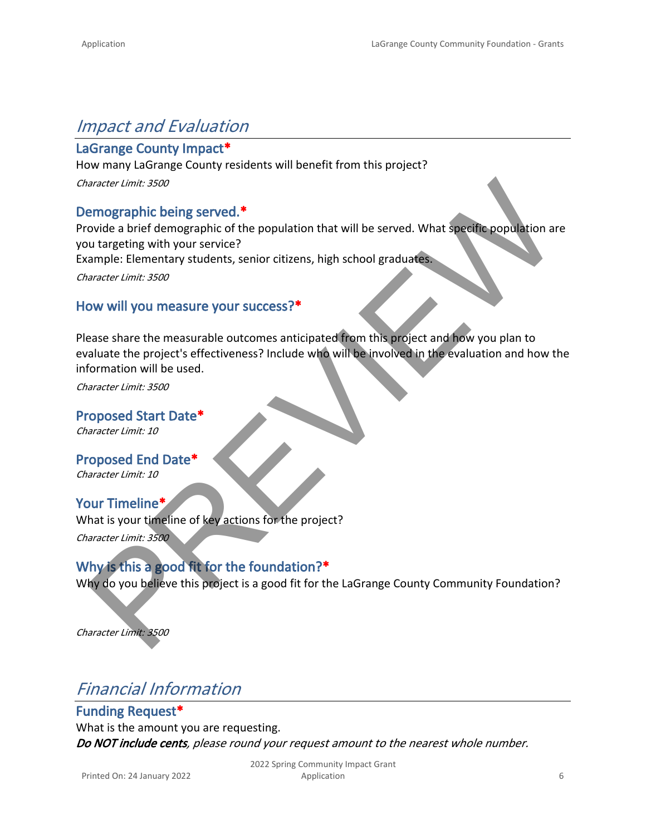## *Impact and Evaluation*

## **LaGrange County Impact\***

How many LaGrange County residents will benefit from this project? *Character Limit: 3500*

## **Demographic being served.\***

Provide a brief demographic of the population that will be served. What specific population are you targeting with your service?

Example: Elementary students, senior citizens, high school graduates.

*Character Limit: 3500*

### **How will you measure your success?\***

Please share the measurable outcomes anticipated from this project and how you plan to evaluate the project's effectiveness? Include who will be involved in the evaluation and how the information will be used. anader limit: 3500<br>
u targeting with your service?<br>
u targeting with your service?<br>
u targeting with your service?<br>
under Elementary students, senior citizens, high school graduates<br>
anader limit: 3500<br>
on will you measure

*Character Limit: 3500*

**Proposed Start Date\*** *Character Limit: 10*

**Proposed End Date\*** *Character Limit: 10*

**Your Timeline\*** What is your timeline of key actions for the project? *Character Limit: 3500*

**Why is this a good fit for the foundation?\*** Why do you believe this project is a good fit for the LaGrange County Community Foundation?

*Character Limit: 3500*

## *Financial Information*

**Funding Request\*** What is the amount you are requesting. *Do NOT include cents, please round your request amount to the nearest whole number.*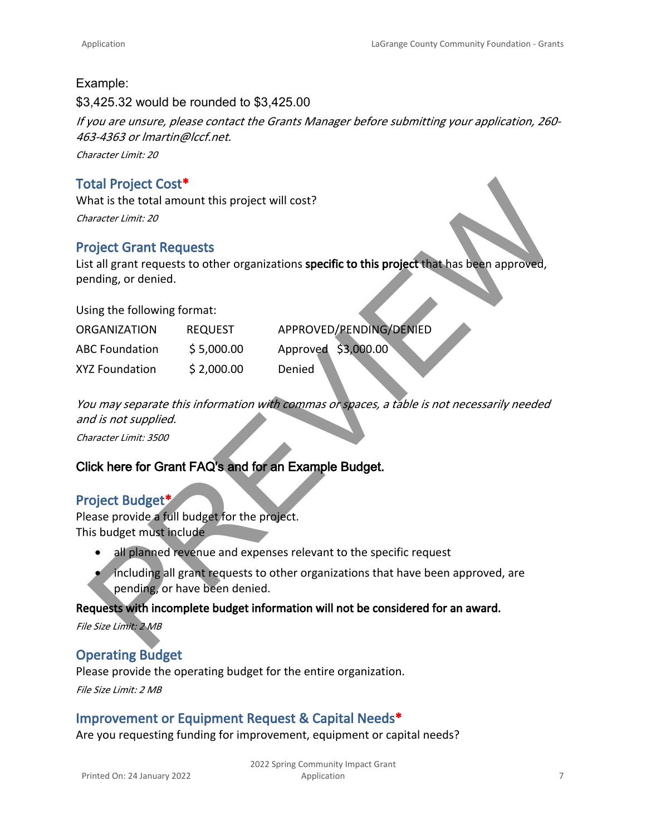#### Example:

\$3,425.32 would be rounded to \$3,425.00

*If you are unsure, please contact the Grants Manager before submitting your application, 260- 463-4363 or lmartin@lccf.net.*

*Character Limit: 20*

## **Total Project Cost\***

### **Project Grant Requests**

#### Using the following format:

| <b>Total Project Cost*</b>                                              |                               |                                                                                                 |
|-------------------------------------------------------------------------|-------------------------------|-------------------------------------------------------------------------------------------------|
| What is the total amount this project will cost?                        |                               |                                                                                                 |
| Character Limit: 20                                                     |                               |                                                                                                 |
| <b>Project Grant Requests</b>                                           |                               |                                                                                                 |
| pending, or denied.                                                     |                               | List all grant requests to other organizations specific to this project that has been approved, |
| Using the following format:                                             |                               |                                                                                                 |
| <b>ORGANIZATION</b>                                                     | <b>REQUEST</b>                | APPROVED/PENDING/DENIED                                                                         |
| <b>ABC Foundation</b>                                                   | \$5,000.00                    | Approved \$3,000.00                                                                             |
| <b>XYZ Foundation</b>                                                   | \$2,000.00                    | Denied                                                                                          |
|                                                                         |                               | You may separate this information with commas or spaces, a table is not necessarily needed      |
| and is not supplied.                                                    |                               |                                                                                                 |
| Character Limit: 3500                                                   |                               |                                                                                                 |
| Click here for Grant FAQ's and for an Example Budget.                   |                               |                                                                                                 |
| <b>Project Budget*</b><br>Please provide a full budget for the project. |                               |                                                                                                 |
| This budget must include                                                |                               |                                                                                                 |
|                                                                         |                               | all planned revenue and expenses relevant to the specific request                               |
|                                                                         | pending, or have been denied. | including all grant requests to other organizations that have been approved, are                |
|                                                                         |                               | Requests with incomplete budget information will not be considered for an award.                |
| File Size Limit: 2 MB                                                   |                               |                                                                                                 |

## **Click here for Grant FAQ's and for an Example Budget.**

### **Project Budget\***

- all planned revenue and expenses relevant to the specific request
- including all grant requests to other organizations that have been approved, are pending, or have been denied.

#### **Requests with incomplete budget information will not be considered for an award.**

## **Operating Budget**

Please provide the operating budget for the entire organization.

*File Size Limit: 2 MB*

### **Improvement or Equipment Request & Capital Needs\***

Are you requesting funding for improvement, equipment or capital needs?